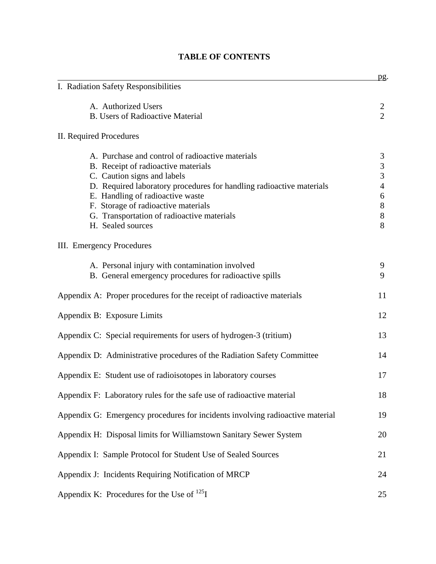|                                                                               | <u>pg</u> .    |
|-------------------------------------------------------------------------------|----------------|
| I. Radiation Safety Responsibilities                                          |                |
| A. Authorized Users                                                           | 2              |
| <b>B.</b> Users of Radioactive Material                                       | $\overline{2}$ |
| II. Required Procedures                                                       |                |
| A. Purchase and control of radioactive materials                              | 3              |
| B. Receipt of radioactive materials                                           | 3              |
| C. Caution signs and labels                                                   | 3              |
| D. Required laboratory procedures for handling radioactive materials          | 4              |
| E. Handling of radioactive waste                                              | 6              |
| F. Storage of radioactive materials                                           | 8              |
| G. Transportation of radioactive materials                                    | 8              |
| H. Sealed sources                                                             | 8              |
| <b>III.</b> Emergency Procedures                                              |                |
| A. Personal injury with contamination involved                                | 9              |
| B. General emergency procedures for radioactive spills                        | 9              |
| Appendix A: Proper procedures for the receipt of radioactive materials        | 11             |
| Appendix B: Exposure Limits                                                   | 12             |
| Appendix C: Special requirements for users of hydrogen-3 (tritium)            | 13             |
| Appendix D: Administrative procedures of the Radiation Safety Committee       | 14             |
| Appendix E: Student use of radioisotopes in laboratory courses                | 17             |
| Appendix F: Laboratory rules for the safe use of radioactive material         | 18             |
| Appendix G: Emergency procedures for incidents involving radioactive material | 19             |
| Appendix H: Disposal limits for Williamstown Sanitary Sewer System            | 20             |
| Appendix I: Sample Protocol for Student Use of Sealed Sources                 | 21             |
| Appendix J: Incidents Requiring Notification of MRCP                          | 24             |
| Appendix K: Procedures for the Use of $^{125}I$                               | 25             |

# **TABLE OF CONTENTS**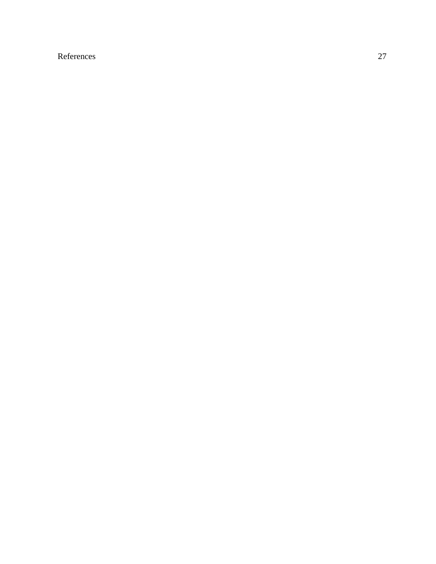# References 27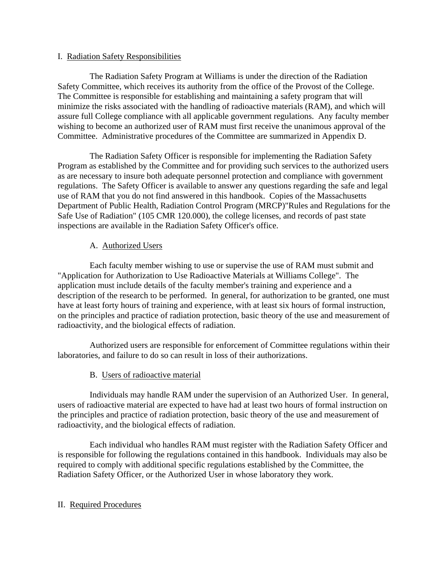## I. Radiation Safety Responsibilities

 The Radiation Safety Program at Williams is under the direction of the Radiation Safety Committee, which receives its authority from the office of the Provost of the College. The Committee is responsible for establishing and maintaining a safety program that will minimize the risks associated with the handling of radioactive materials (RAM), and which will assure full College compliance with all applicable government regulations. Any faculty member wishing to become an authorized user of RAM must first receive the unanimous approval of the Committee. Administrative procedures of the Committee are summarized in Appendix D.

 The Radiation Safety Officer is responsible for implementing the Radiation Safety Program as established by the Committee and for providing such services to the authorized users as are necessary to insure both adequate personnel protection and compliance with government regulations. The Safety Officer is available to answer any questions regarding the safe and legal use of RAM that you do not find answered in this handbook. Copies of the Massachusetts Department of Public Health, Radiation Control Program (MRCP)"Rules and Regulations for the Safe Use of Radiation" (105 CMR 120.000), the college licenses, and records of past state inspections are available in the Radiation Safety Officer's office.

# A. Authorized Users

 Each faculty member wishing to use or supervise the use of RAM must submit and "Application for Authorization to Use Radioactive Materials at Williams College". The application must include details of the faculty member's training and experience and a description of the research to be performed. In general, for authorization to be granted, one must have at least forty hours of training and experience, with at least six hours of formal instruction, on the principles and practice of radiation protection, basic theory of the use and measurement of radioactivity, and the biological effects of radiation.

 Authorized users are responsible for enforcement of Committee regulations within their laboratories, and failure to do so can result in loss of their authorizations.

# B. Users of radioactive material

 Individuals may handle RAM under the supervision of an Authorized User. In general, users of radioactive material are expected to have had at least two hours of formal instruction on the principles and practice of radiation protection, basic theory of the use and measurement of radioactivity, and the biological effects of radiation.

 Each individual who handles RAM must register with the Radiation Safety Officer and is responsible for following the regulations contained in this handbook. Individuals may also be required to comply with additional specific regulations established by the Committee, the Radiation Safety Officer, or the Authorized User in whose laboratory they work.

# II. Required Procedures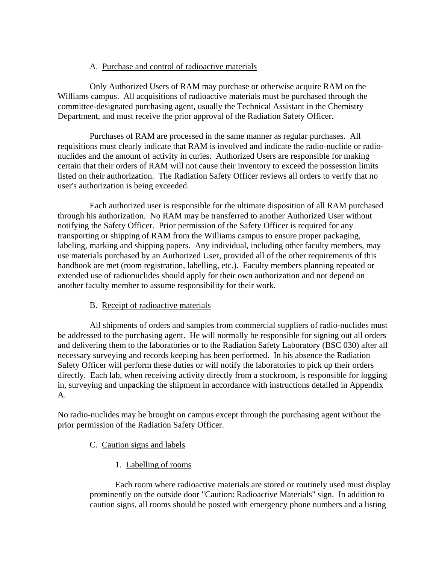## A. Purchase and control of radioactive materials

 Only Authorized Users of RAM may purchase or otherwise acquire RAM on the Williams campus. All acquisitions of radioactive materials must be purchased through the committee-designated purchasing agent, usually the Technical Assistant in the Chemistry Department, and must receive the prior approval of the Radiation Safety Officer.

 Purchases of RAM are processed in the same manner as regular purchases. All requisitions must clearly indicate that RAM is involved and indicate the radio-nuclide or radionuclides and the amount of activity in curies. Authorized Users are responsible for making certain that their orders of RAM will not cause their inventory to exceed the possession limits listed on their authorization. The Radiation Safety Officer reviews all orders to verify that no user's authorization is being exceeded.

 Each authorized user is responsible for the ultimate disposition of all RAM purchased through his authorization. No RAM may be transferred to another Authorized User without notifying the Safety Officer. Prior permission of the Safety Officer is required for any transporting or shipping of RAM from the Williams campus to ensure proper packaging, labeling, marking and shipping papers. Any individual, including other faculty members, may use materials purchased by an Authorized User, provided all of the other requirements of this handbook are met (room registration, labelling, etc.). Faculty members planning repeated or extended use of radionuclides should apply for their own authorization and not depend on another faculty member to assume responsibility for their work.

# B. Receipt of radioactive materials

 All shipments of orders and samples from commercial suppliers of radio-nuclides must be addressed to the purchasing agent. He will normally be responsible for signing out all orders and delivering them to the laboratories or to the Radiation Safety Laboratory (BSC 030) after all necessary surveying and records keeping has been performed. In his absence the Radiation Safety Officer will perform these duties or will notify the laboratories to pick up their orders directly. Each lab, when receiving activity directly from a stockroom, is responsible for logging in, surveying and unpacking the shipment in accordance with instructions detailed in Appendix A.

No radio-nuclides may be brought on campus except through the purchasing agent without the prior permission of the Radiation Safety Officer.

- C. Caution signs and labels
	- 1. Labelling of rooms

 Each room where radioactive materials are stored or routinely used must display prominently on the outside door "Caution: Radioactive Materials" sign. In addition to caution signs, all rooms should be posted with emergency phone numbers and a listing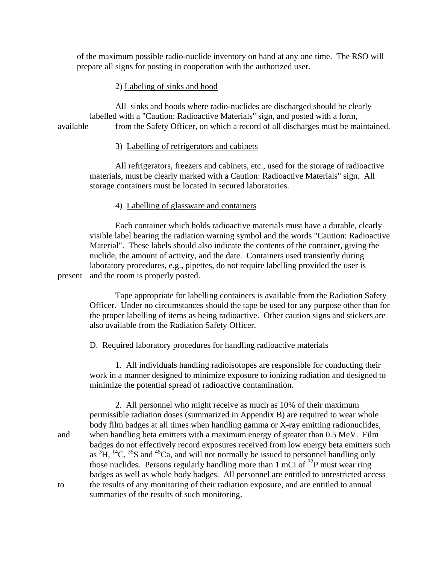of the maximum possible radio-nuclide inventory on hand at any one time. The RSO will prepare all signs for posting in cooperation with the authorized user.

2) Labeling of sinks and hood

 All sinks and hoods where radio-nuclides are discharged should be clearly labelled with a "Caution: Radioactive Materials" sign, and posted with a form, available from the Safety Officer, on which a record of all discharges must be maintained.

#### 3) Labelling of refrigerators and cabinets

 All refrigerators, freezers and cabinets, etc., used for the storage of radioactive materials, must be clearly marked with a Caution: Radioactive Materials" sign. All storage containers must be located in secured laboratories.

#### 4) Labelling of glassware and containers

 Each container which holds radioactive materials must have a durable, clearly visible label bearing the radiation warning symbol and the words "Caution: Radioactive Material". These labels should also indicate the contents of the container, giving the nuclide, the amount of activity, and the date. Containers used transiently during laboratory procedures, e.g., pipettes, do not require labelling provided the user is present and the room is properly posted.

 Tape appropriate for labelling containers is available from the Radiation Safety Officer. Under no circumstances should the tape be used for any purpose other than for the proper labelling of items as being radioactive. Other caution signs and stickers are also available from the Radiation Safety Officer.

#### D. Required laboratory procedures for handling radioactive materials

 1. All individuals handling radioisotopes are responsible for conducting their work in a manner designed to minimize exposure to ionizing radiation and designed to minimize the potential spread of radioactive contamination.

 2. All personnel who might receive as much as 10% of their maximum permissible radiation doses (summarized in Appendix B) are required to wear whole body film badges at all times when handling gamma or X-ray emitting radionuclides, and when handling beta emitters with a maximum energy of greater than 0.5 MeV. Film badges do not effectively record exposures received from low energy beta emitters such as  ${}^{3}H$ ,  ${}^{14}C$ ,  ${}^{35}S$  and  ${}^{45}Ca$ , and will not normally be issued to personnel handling only those nuclides. Persons regularly handling more than 1 mCi of  $^{32}P$  must wear ring badges as well as whole body badges. All personnel are entitled to unrestricted access to the results of any monitoring of their radiation exposure, and are entitled to annual summaries of the results of such monitoring.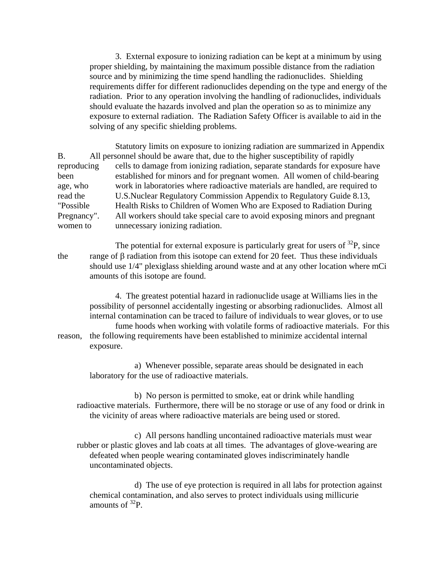3. External exposure to ionizing radiation can be kept at a minimum by using proper shielding, by maintaining the maximum possible distance from the radiation source and by minimizing the time spend handling the radionuclides. Shielding requirements differ for different radionuclides depending on the type and energy of the radiation. Prior to any operation involving the handling of radionuclides, individuals should evaluate the hazards involved and plan the operation so as to minimize any exposure to external radiation. The Radiation Safety Officer is available to aid in the solving of any specific shielding problems.

 Statutory limits on exposure to ionizing radiation are summarized in Appendix B. All personnel should be aware that, due to the higher susceptibility of rapidly reproducing cells to damage from ionizing radiation, separate standards for exposure have been established for minors and for pregnant women. All women of child-bearing age, who work in laboratories where radioactive materials are handled, are required to read the U.S.Nuclear Regulatory Commission Appendix to Regulatory Guide 8.13, "Possible Health Risks to Children of Women Who are Exposed to Radiation During Pregnancy". All workers should take special care to avoid exposing minors and pregnant women to unnecessary ionizing radiation.

The potential for external exposure is particularly great for users of  $^{32}P$ , since the range of  $\beta$  radiation from this isotope can extend for 20 feet. Thus these individuals should use 1/4" plexiglass shielding around waste and at any other location where mCi amounts of this isotope are found.

 4. The greatest potential hazard in radionuclide usage at Williams lies in the possibility of personnel accidentally ingesting or absorbing radionuclides. Almost all internal contamination can be traced to failure of individuals to wear gloves, or to use

 fume hoods when working with volatile forms of radioactive materials. For this reason, the following requirements have been established to minimize accidental internal exposure.

 a) Whenever possible, separate areas should be designated in each laboratory for the use of radioactive materials.

 b) No person is permitted to smoke, eat or drink while handling radioactive materials. Furthermore, there will be no storage or use of any food or drink in the vicinity of areas where radioactive materials are being used or stored.

 c) All persons handling uncontained radioactive materials must wear rubber or plastic gloves and lab coats at all times. The advantages of glove-wearing are defeated when people wearing contaminated gloves indiscriminately handle uncontaminated objects.

 d) The use of eye protection is required in all labs for protection against chemical contamination, and also serves to protect individuals using millicurie amounts of  $^{32}P$ .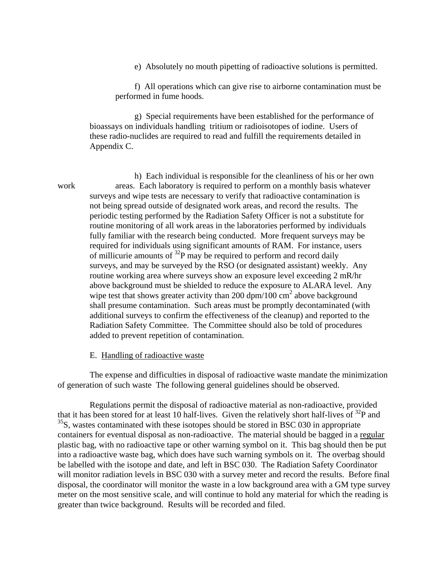e) Absolutely no mouth pipetting of radioactive solutions is permitted.

 f) All operations which can give rise to airborne contamination must be performed in fume hoods.

 g) Special requirements have been established for the performance of bioassays on individuals handling tritium or radioisotopes of iodine. Users of these radio-nuclides are required to read and fulfill the requirements detailed in Appendix C.

 h) Each individual is responsible for the cleanliness of his or her own work areas. Each laboratory is required to perform on a monthly basis whatever surveys and wipe tests are necessary to verify that radioactive contamination is not being spread outside of designated work areas, and record the results. The periodic testing performed by the Radiation Safety Officer is not a substitute for routine monitoring of all work areas in the laboratories performed by individuals fully familiar with the research being conducted. More frequent surveys may be required for individuals using significant amounts of RAM. For instance, users of millicurie amounts of  $^{32}P$  may be required to perform and record daily surveys, and may be surveyed by the RSO (or designated assistant) weekly. Any routine working area where surveys show an exposure level exceeding 2 mR/hr above background must be shielded to reduce the exposure to ALARA level. Any wipe test that shows greater activity than 200 dpm/100  $\text{cm}^2$  above background shall presume contamination. Such areas must be promptly decontaminated (with additional surveys to confirm the effectiveness of the cleanup) and reported to the Radiation Safety Committee. The Committee should also be told of procedures added to prevent repetition of contamination.

#### E. Handling of radioactive waste

 The expense and difficulties in disposal of radioactive waste mandate the minimization of generation of such waste The following general guidelines should be observed.

 Regulations permit the disposal of radioactive material as non-radioactive, provided that it has been stored for at least 10 half-lives. Given the relatively short half-lives of  $^{32}P$  and  $35$ S, wastes contaminated with these isotopes should be stored in BSC 030 in appropriate containers for eventual disposal as non-radioactive. The material should be bagged in a regular plastic bag, with no radioactive tape or other warning symbol on it. This bag should then be put into a radioactive waste bag, which does have such warning symbols on it. The overbag should be labelled with the isotope and date, and left in BSC 030. The Radiation Safety Coordinator will monitor radiation levels in BSC 030 with a survey meter and record the results. Before final disposal, the coordinator will monitor the waste in a low background area with a GM type survey meter on the most sensitive scale, and will continue to hold any material for which the reading is greater than twice background. Results will be recorded and filed.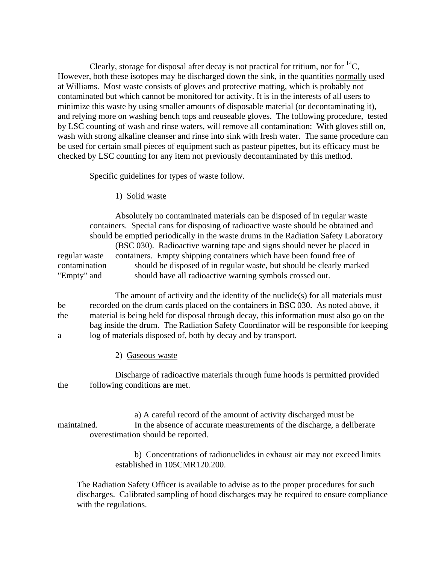Clearly, storage for disposal after decay is not practical for tritium, nor for  ${}^{14}C$ , However, both these isotopes may be discharged down the sink, in the quantities normally used at Williams. Most waste consists of gloves and protective matting, which is probably not contaminated but which cannot be monitored for activity. It is in the interests of all users to minimize this waste by using smaller amounts of disposable material (or decontaminating it), and relying more on washing bench tops and reuseable gloves. The following procedure, tested by LSC counting of wash and rinse waters, will remove all contamination: With gloves still on, wash with strong alkaline cleanser and rinse into sink with fresh water. The same procedure can be used for certain small pieces of equipment such as pasteur pipettes, but its efficacy must be checked by LSC counting for any item not previously decontaminated by this method.

Specific guidelines for types of waste follow.

1) Solid waste

 Absolutely no contaminated materials can be disposed of in regular waste containers. Special cans for disposing of radioactive waste should be obtained and should be emptied periodically in the waste drums in the Radiation Safety Laboratory (BSC 030). Radioactive warning tape and signs should never be placed in regular waste containers. Empty shipping containers which have been found free of contamination should be disposed of in regular waste, but should be clearly marked "Empty" and should have all radioactive warning symbols crossed out.

 The amount of activity and the identity of the nuclide(s) for all materials must be recorded on the drum cards placed on the containers in BSC 030. As noted above, if the material is being held for disposal through decay, this information must also go on the bag inside the drum. The Radiation Safety Coordinator will be responsible for keeping a log of materials disposed of, both by decay and by transport.

2) Gaseous waste

 Discharge of radioactive materials through fume hoods is permitted provided the following conditions are met.

 a) A careful record of the amount of activity discharged must be maintained. In the absence of accurate measurements of the discharge, a deliberate overestimation should be reported.

> b) Concentrations of radionuclides in exhaust air may not exceed limits established in 105CMR120.200.

The Radiation Safety Officer is available to advise as to the proper procedures for such discharges. Calibrated sampling of hood discharges may be required to ensure compliance with the regulations.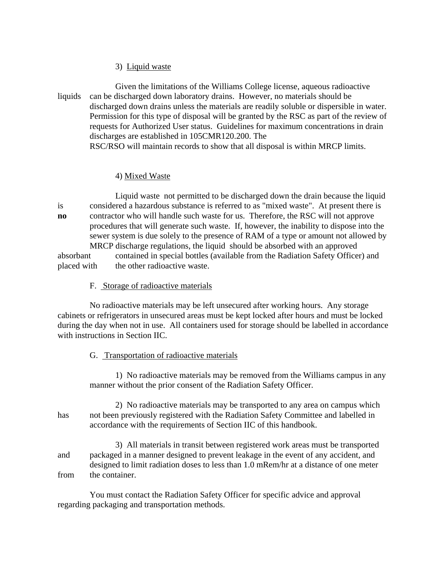## 3) Liquid waste

 Given the limitations of the Williams College license, aqueous radioactive liquids can be discharged down laboratory drains. However, no materials should be discharged down drains unless the materials are readily soluble or dispersible in water. Permission for this type of disposal will be granted by the RSC as part of the review of requests for Authorized User status. Guidelines for maximum concentrations in drain discharges are established in 105CMR120.200. The RSC/RSO will maintain records to show that all disposal is within MRCP limits.

## 4) Mixed Waste

 Liquid waste not permitted to be discharged down the drain because the liquid is considered a hazardous substance is referred to as "mixed waste". At present there is **no** contractor who will handle such waste for us. Therefore, the RSC will not approve procedures that will generate such waste. If, however, the inability to dispose into the sewer system is due solely to the presence of RAM of a type or amount not allowed by MRCP discharge regulations, the liquid should be absorbed with an approved absorbant contained in special bottles (available from the Radiation Safety Officer) and

placed with the other radioactive waste.

## F. Storage of radioactive materials

 No radioactive materials may be left unsecured after working hours. Any storage cabinets or refrigerators in unsecured areas must be kept locked after hours and must be locked during the day when not in use. All containers used for storage should be labelled in accordance with instructions in Section IIC.

# G. Transportation of radioactive materials

 1) No radioactive materials may be removed from the Williams campus in any manner without the prior consent of the Radiation Safety Officer.

 2) No radioactive materials may be transported to any area on campus which has not been previously registered with the Radiation Safety Committee and labelled in accordance with the requirements of Section IIC of this handbook.

 3) All materials in transit between registered work areas must be transported and packaged in a manner designed to prevent leakage in the event of any accident, and designed to limit radiation doses to less than 1.0 mRem/hr at a distance of one meter from the container.

 You must contact the Radiation Safety Officer for specific advice and approval regarding packaging and transportation methods.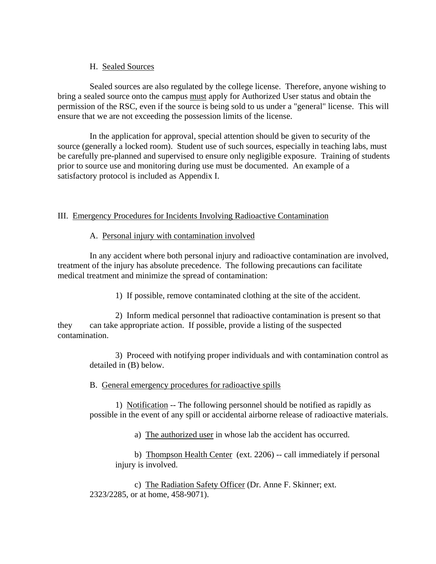## H. Sealed Sources

 Sealed sources are also regulated by the college license. Therefore, anyone wishing to bring a sealed source onto the campus must apply for Authorized User status and obtain the permission of the RSC, even if the source is being sold to us under a "general" license. This will ensure that we are not exceeding the possession limits of the license.

 In the application for approval, special attention should be given to security of the source (generally a locked room). Student use of such sources, especially in teaching labs, must be carefully pre-planned and supervised to ensure only negligible exposure. Training of students prior to source use and monitoring during use must be documented. An example of a satisfactory protocol is included as Appendix I.

# III. Emergency Procedures for Incidents Involving Radioactive Contamination

## A. Personal injury with contamination involved

 In any accident where both personal injury and radioactive contamination are involved, treatment of the injury has absolute precedence. The following precautions can facilitate medical treatment and minimize the spread of contamination:

1) If possible, remove contaminated clothing at the site of the accident.

 2) Inform medical personnel that radioactive contamination is present so that they can take appropriate action. If possible, provide a listing of the suspected contamination.

 3) Proceed with notifying proper individuals and with contamination control as detailed in (B) below.

# B. General emergency procedures for radioactive spills

 1) Notification -- The following personnel should be notified as rapidly as possible in the event of any spill or accidental airborne release of radioactive materials.

a) The authorized user in whose lab the accident has occurred.

 b) Thompson Health Center (ext. 2206) -- call immediately if personal injury is involved.

 c) The Radiation Safety Officer (Dr. Anne F. Skinner; ext. 2323/2285, or at home, 458-9071).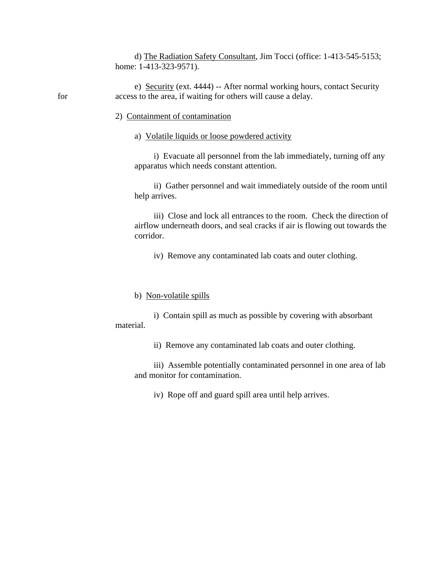d) The Radiation Safety Consultant, Jim Tocci (office: 1-413-545-5153; home: 1-413-323-9571).

 e) Security (ext. 4444) -- After normal working hours, contact Security for access to the area, if waiting for others will cause a delay.

- 2) Containment of contamination
	- a) Volatile liquids or loose powdered activity

 i) Evacuate all personnel from the lab immediately, turning off any apparatus which needs constant attention.

 ii) Gather personnel and wait immediately outside of the room until help arrives.

 iii) Close and lock all entrances to the room. Check the direction of airflow underneath doors, and seal cracks if air is flowing out towards the corridor.

iv) Remove any contaminated lab coats and outer clothing.

#### b) Non-volatile spills

 i) Contain spill as much as possible by covering with absorbant material.

ii) Remove any contaminated lab coats and outer clothing.

 iii) Assemble potentially contaminated personnel in one area of lab and monitor for contamination.

iv) Rope off and guard spill area until help arrives.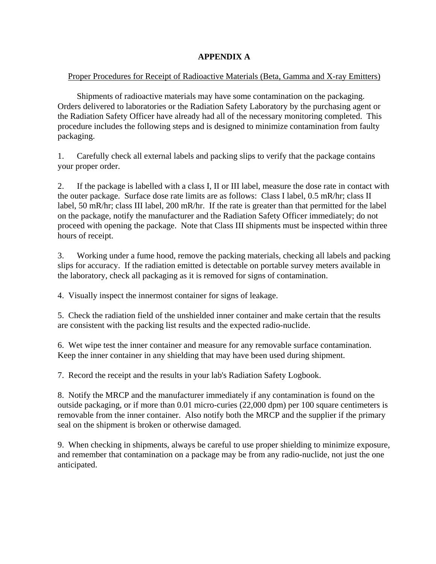# **APPENDIX A**

# Proper Procedures for Receipt of Radioactive Materials (Beta, Gamma and X-ray Emitters)

 Shipments of radioactive materials may have some contamination on the packaging. Orders delivered to laboratories or the Radiation Safety Laboratory by the purchasing agent or the Radiation Safety Officer have already had all of the necessary monitoring completed. This procedure includes the following steps and is designed to minimize contamination from faulty packaging.

1. Carefully check all external labels and packing slips to verify that the package contains your proper order.

2. If the package is labelled with a class I, II or III label, measure the dose rate in contact with the outer package. Surface dose rate limits are as follows: Class I label, 0.5 mR/hr; class II label, 50 mR/hr; class III label, 200 mR/hr. If the rate is greater than that permitted for the label on the package, notify the manufacturer and the Radiation Safety Officer immediately; do not proceed with opening the package. Note that Class III shipments must be inspected within three hours of receipt.

3. Working under a fume hood, remove the packing materials, checking all labels and packing slips for accuracy. If the radiation emitted is detectable on portable survey meters available in the laboratory, check all packaging as it is removed for signs of contamination.

4. Visually inspect the innermost container for signs of leakage.

5. Check the radiation field of the unshielded inner container and make certain that the results are consistent with the packing list results and the expected radio-nuclide.

6. Wet wipe test the inner container and measure for any removable surface contamination. Keep the inner container in any shielding that may have been used during shipment.

7. Record the receipt and the results in your lab's Radiation Safety Logbook.

8. Notify the MRCP and the manufacturer immediately if any contamination is found on the outside packaging, or if more than 0.01 micro-curies (22,000 dpm) per 100 square centimeters is removable from the inner container. Also notify both the MRCP and the supplier if the primary seal on the shipment is broken or otherwise damaged.

9. When checking in shipments, always be careful to use proper shielding to minimize exposure, and remember that contamination on a package may be from any radio-nuclide, not just the one anticipated.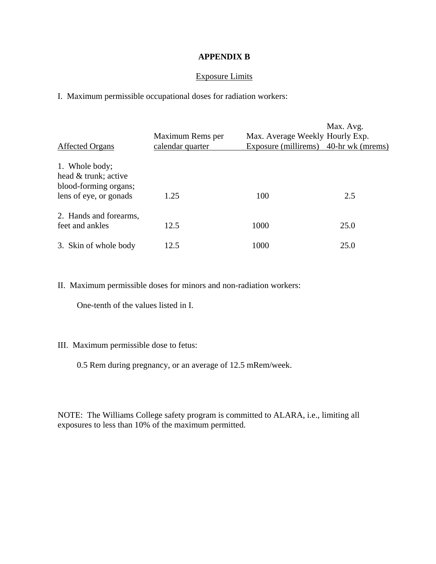## **APPENDIX B**

## Exposure Limits

I. Maximum permissible occupational doses for radiation workers:

| <b>Affected Organs</b>                                                                    | Maximum Rems per<br>calendar quarter | Max. Average Weekly Hourly Exp.<br>Exposure (millirems) 40-hr wk (mrems) | Max. Avg. |
|-------------------------------------------------------------------------------------------|--------------------------------------|--------------------------------------------------------------------------|-----------|
| 1. Whole body;<br>head & trunk; active<br>blood-forming organs;<br>lens of eye, or gonads | 1.25                                 | 100                                                                      | 2.5       |
| 2. Hands and forearms,<br>feet and ankles                                                 | 12.5                                 | 1000                                                                     | 25.0      |
| 3. Skin of whole body                                                                     | 12.5                                 | 1000                                                                     | 25.0      |

II. Maximum permissible doses for minors and non-radiation workers:

One-tenth of the values listed in I.

## III. Maximum permissible dose to fetus:

0.5 Rem during pregnancy, or an average of 12.5 mRem/week.

NOTE: The Williams College safety program is committed to ALARA, i.e., limiting all exposures to less than 10% of the maximum permitted.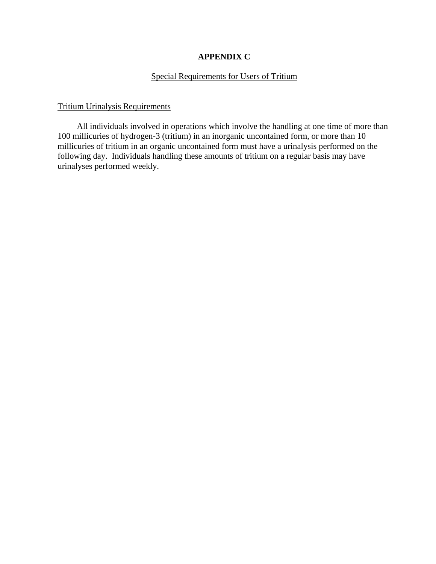# **APPENDIX C**

# Special Requirements for Users of Tritium

## Tritium Urinalysis Requirements

 All individuals involved in operations which involve the handling at one time of more than 100 millicuries of hydrogen-3 (tritium) in an inorganic uncontained form, or more than 10 millicuries of tritium in an organic uncontained form must have a urinalysis performed on the following day. Individuals handling these amounts of tritium on a regular basis may have urinalyses performed weekly.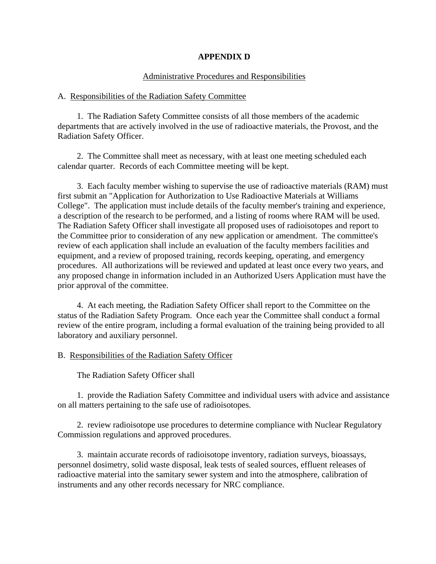## **APPENDIX D**

## Administrative Procedures and Responsibilities

#### A. Responsibilities of the Radiation Safety Committee

 1. The Radiation Safety Committee consists of all those members of the academic departments that are actively involved in the use of radioactive materials, the Provost, and the Radiation Safety Officer.

 2. The Committee shall meet as necessary, with at least one meeting scheduled each calendar quarter. Records of each Committee meeting will be kept.

 3. Each faculty member wishing to supervise the use of radioactive materials (RAM) must first submit an "Application for Authorization to Use Radioactive Materials at Williams College". The application must include details of the faculty member's training and experience, a description of the research to be performed, and a listing of rooms where RAM will be used. The Radiation Safety Officer shall investigate all proposed uses of radioisotopes and report to the Committee prior to consideration of any new application or amendment. The committee's review of each application shall include an evaluation of the faculty members facilities and equipment, and a review of proposed training, records keeping, operating, and emergency procedures. All authorizations will be reviewed and updated at least once every two years, and any proposed change in information included in an Authorized Users Application must have the prior approval of the committee.

 4. At each meeting, the Radiation Safety Officer shall report to the Committee on the status of the Radiation Safety Program. Once each year the Committee shall conduct a formal review of the entire program, including a formal evaluation of the training being provided to all laboratory and auxiliary personnel.

#### B. Responsibilities of the Radiation Safety Officer

#### The Radiation Safety Officer shall

 1. provide the Radiation Safety Committee and individual users with advice and assistance on all matters pertaining to the safe use of radioisotopes.

 2. review radioisotope use procedures to determine compliance with Nuclear Regulatory Commission regulations and approved procedures.

 3. maintain accurate records of radioisotope inventory, radiation surveys, bioassays, personnel dosimetry, solid waste disposal, leak tests of sealed sources, effluent releases of radioactive material into the samitary sewer system and into the atmosphere, calibration of instruments and any other records necessary for NRC compliance.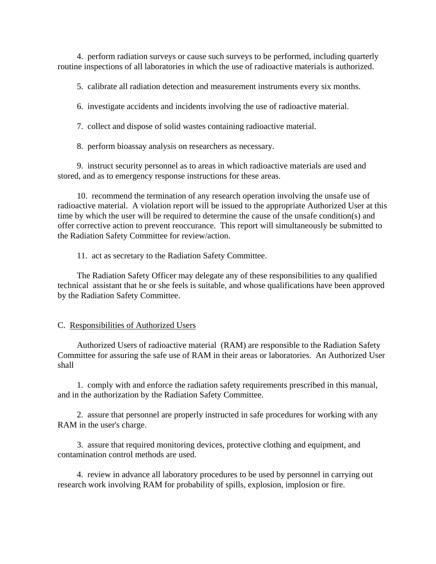4. perform radiation surveys or cause such surveys to be performed, including quarterly routine inspections of all laboratories in which the use of radioactive materials is authorized.

5. calibrate all radiation detection and measurement instruments every six months.

6. investigate accidents and incidents involving the use of radioactive material.

7. collect and dispose of solid wastes containing radioactive material.

8. perform bioassay analysis on researchers as necessary.

 9. instruct security personnel as to areas in which radioactive materials are used and stored, and as to emergency response instructions for these areas.

 10. recommend the termination of any research operation involving the unsafe use of radioactive material. A violation report will be issued to the appropriate Authorized User at this time by which the user will be required to determine the cause of the unsafe condition(s) and offer corrective action to prevent reoccurance. This report will simultaneously be submitted to the Radiation Safety Committee for review/action.

11. act as secretary to the Radiation Safety Committee.

 The Radiation Safety Officer may delegate any of these responsibilities to any qualified technical assistant that he or she feels is suitable, and whose qualifications have been approved by the Radiation Safety Committee.

C. Responsibilities of Authorized Users

 Authorized Users of radioactive material (RAM) are responsible to the Radiation Safety Committee for assuring the safe use of RAM in their areas or laboratories. An Authorized User shall

 1. comply with and enforce the radiation safety requirements prescribed in this manual, and in the authorization by the Radiation Safety Committee.

 2. assure that personnel are properly instructed in safe procedures for working with any RAM in the user's charge.

 3. assure that required monitoring devices, protective clothing and equipment, and contamination control methods are used.

 4. review in advance all laboratory procedures to be used by personnel in carrying out research work involving RAM for probability of spills, explosion, implosion or fire.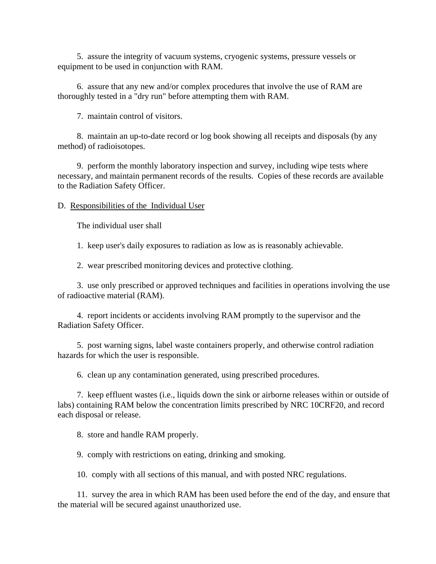5. assure the integrity of vacuum systems, cryogenic systems, pressure vessels or equipment to be used in conjunction with RAM.

 6. assure that any new and/or complex procedures that involve the use of RAM are thoroughly tested in a "dry run" before attempting them with RAM.

7. maintain control of visitors.

 8. maintain an up-to-date record or log book showing all receipts and disposals (by any method) of radioisotopes.

 9. perform the monthly laboratory inspection and survey, including wipe tests where necessary, and maintain permanent records of the results. Copies of these records are available to the Radiation Safety Officer.

D. Responsibilities of the Individual User

The individual user shall

1. keep user's daily exposures to radiation as low as is reasonably achievable.

2. wear prescribed monitoring devices and protective clothing.

 3. use only prescribed or approved techniques and facilities in operations involving the use of radioactive material (RAM).

 4. report incidents or accidents involving RAM promptly to the supervisor and the Radiation Safety Officer.

 5. post warning signs, label waste containers properly, and otherwise control radiation hazards for which the user is responsible.

6. clean up any contamination generated, using prescribed procedures.

 7. keep effluent wastes (i.e., liquids down the sink or airborne releases within or outside of labs) containing RAM below the concentration limits prescribed by NRC 10CRF20, and record each disposal or release.

8. store and handle RAM properly.

9. comply with restrictions on eating, drinking and smoking.

10. comply with all sections of this manual, and with posted NRC regulations.

 11. survey the area in which RAM has been used before the end of the day, and ensure that the material will be secured against unauthorized use.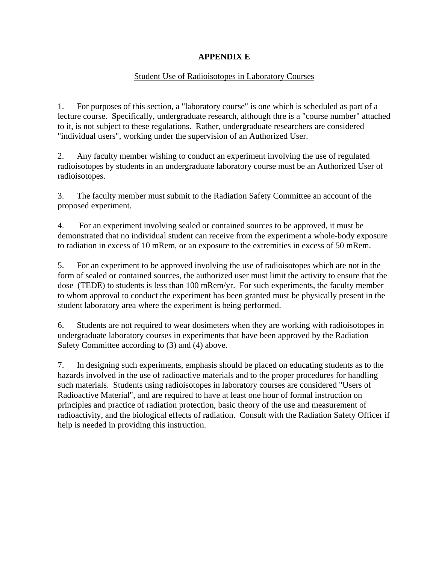# **APPENDIX E**

# Student Use of Radioisotopes in Laboratory Courses

1. For purposes of this section, a "laboratory course" is one which is scheduled as part of a lecture course. Specifically, undergraduate research, although thre is a "course number" attached to it, is not subject to these regulations. Rather, undergraduate researchers are considered "individual users", working under the supervision of an Authorized User.

2. Any faculty member wishing to conduct an experiment involving the use of regulated radioisotopes by students in an undergraduate laboratory course must be an Authorized User of radioisotopes.

3. The faculty member must submit to the Radiation Safety Committee an account of the proposed experiment.

4. For an experiment involving sealed or contained sources to be approved, it must be demonstrated that no individual student can receive from the experiment a whole-body exposure to radiation in excess of 10 mRem, or an exposure to the extremities in excess of 50 mRem.

5. For an experiment to be approved involving the use of radioisotopes which are not in the form of sealed or contained sources, the authorized user must limit the activity to ensure that the dose (TEDE) to students is less than 100 mRem/yr. For such experiments, the faculty member to whom approval to conduct the experiment has been granted must be physically present in the student laboratory area where the experiment is being performed.

6. Students are not required to wear dosimeters when they are working with radioisotopes in undergraduate laboratory courses in experiments that have been approved by the Radiation Safety Committee according to (3) and (4) above.

7. In designing such experiments, emphasis should be placed on educating students as to the hazards involved in the use of radioactive materials and to the proper procedures for handling such materials. Students using radioisotopes in laboratory courses are considered "Users of Radioactive Material", and are required to have at least one hour of formal instruction on principles and practice of radiation protection, basic theory of the use and measurement of radioactivity, and the biological effects of radiation. Consult with the Radiation Safety Officer if help is needed in providing this instruction.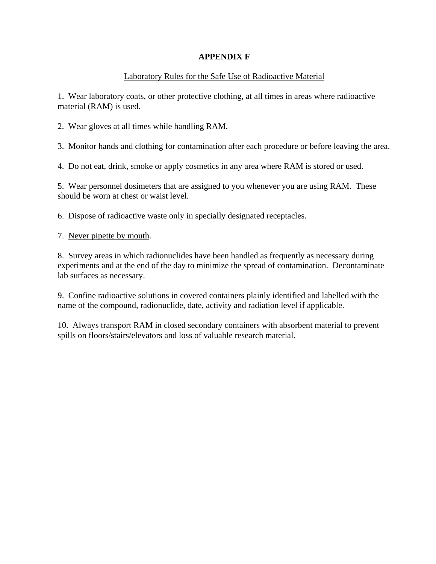# **APPENDIX F**

# Laboratory Rules for the Safe Use of Radioactive Material

1. Wear laboratory coats, or other protective clothing, at all times in areas where radioactive material (RAM) is used.

2. Wear gloves at all times while handling RAM.

3. Monitor hands and clothing for contamination after each procedure or before leaving the area.

4. Do not eat, drink, smoke or apply cosmetics in any area where RAM is stored or used.

5. Wear personnel dosimeters that are assigned to you whenever you are using RAM. These should be worn at chest or waist level.

6. Dispose of radioactive waste only in specially designated receptacles.

7. Never pipette by mouth.

8. Survey areas in which radionuclides have been handled as frequently as necessary during experiments and at the end of the day to minimize the spread of contamination. Decontaminate lab surfaces as necessary.

9. Confine radioactive solutions in covered containers plainly identified and labelled with the name of the compound, radionuclide, date, activity and radiation level if applicable.

10. Always transport RAM in closed secondary containers with absorbent material to prevent spills on floors/stairs/elevators and loss of valuable research material.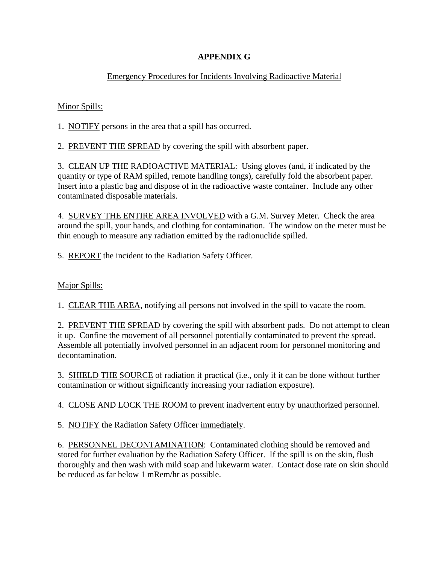# **APPENDIX G**

# Emergency Procedures for Incidents Involving Radioactive Material

Minor Spills:

1. NOTIFY persons in the area that a spill has occurred.

2. PREVENT THE SPREAD by covering the spill with absorbent paper.

3. CLEAN UP THE RADIOACTIVE MATERIAL: Using gloves (and, if indicated by the quantity or type of RAM spilled, remote handling tongs), carefully fold the absorbent paper. Insert into a plastic bag and dispose of in the radioactive waste container. Include any other contaminated disposable materials.

4. SURVEY THE ENTIRE AREA INVOLVED with a G.M. Survey Meter. Check the area around the spill, your hands, and clothing for contamination. The window on the meter must be thin enough to measure any radiation emitted by the radionuclide spilled.

5. REPORT the incident to the Radiation Safety Officer.

Major Spills:

1. CLEAR THE AREA, notifying all persons not involved in the spill to vacate the room.

2. PREVENT THE SPREAD by covering the spill with absorbent pads. Do not attempt to clean it up. Confine the movement of all personnel potentially contaminated to prevent the spread. Assemble all potentially involved personnel in an adjacent room for personnel monitoring and decontamination.

3. SHIELD THE SOURCE of radiation if practical (i.e., only if it can be done without further contamination or without significantly increasing your radiation exposure).

4. CLOSE AND LOCK THE ROOM to prevent inadvertent entry by unauthorized personnel.

5. NOTIFY the Radiation Safety Officer immediately.

6. PERSONNEL DECONTAMINATION: Contaminated clothing should be removed and stored for further evaluation by the Radiation Safety Officer. If the spill is on the skin, flush thoroughly and then wash with mild soap and lukewarm water. Contact dose rate on skin should be reduced as far below 1 mRem/hr as possible.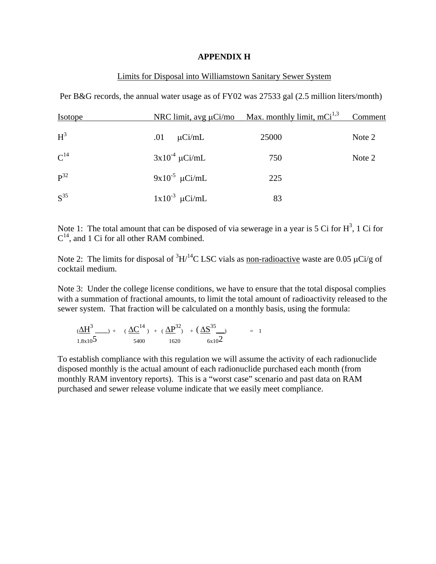#### **APPENDIX H**

## Limits for Disposal into Williamstown Sanitary Sewer System

Per B&G records, the annual water usage as of FY02 was 27533 gal (2.5 million liters/month)

| <b>Isotope</b> | NRC limit, avg $\mu$ Ci/mo | <u>Max. monthly limit, mCi</u> <sup>1,3</sup> | Comment |  |
|----------------|----------------------------|-----------------------------------------------|---------|--|
| $H^3$          | $\mu$ Ci/mL<br>.01         | 25000                                         | Note 2  |  |
| $C^{14}$       | $3x10^{-4}$ µCi/mL         | 750                                           | Note 2  |  |
| $P^{32}$       | $9x10^{-5} \mu Ci/mL$      | 225                                           |         |  |
| $S^{35}$       | $1x10^{-3}$ µCi/mL         | 83                                            |         |  |

Note 1: The total amount that can be disposed of via sewerage in a year is 5 Ci for  $H^3$ , 1 Ci for  $C^{14}$ , and 1 Ci for all other RAM combined.

Note 2: The limits for disposal of  ${}^{3}H/{}^{14}C$  LSC vials as non-radioactive waste are 0.05  $\mu$ Ci/g of cocktail medium.

Note 3: Under the college license conditions, we have to ensure that the total disposal complies with a summation of fractional amounts, to limit the total amount of radioactivity released to the sewer system. That fraction will be calculated on a monthly basis, using the formula:

$$
(\underline{\Delta H}^{3}_{3})_{1.8 \times 10^{5}} + (\underline{\Delta C}^{14})_{1.8 \times 10^{5}} + (\underline{\Delta P}^{32}_{3})_{1.6 \times 10^{5}} + (\underline{\Delta S}^{35}_{6 \times 10^{2}}) = 1
$$

To establish compliance with this regulation we will assume the activity of each radionuclide disposed monthly is the actual amount of each radionuclide purchased each month (from monthly RAM inventory reports). This is a "worst case" scenario and past data on RAM purchased and sewer release volume indicate that we easily meet compliance.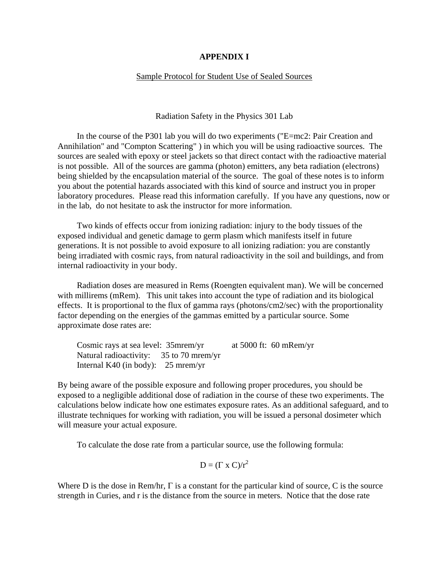#### **APPENDIX I**

#### Sample Protocol for Student Use of Sealed Sources

Radiation Safety in the Physics 301 Lab

 In the course of the P301 lab you will do two experiments ("E=mc2: Pair Creation and Annihilation" and "Compton Scattering" ) in which you will be using radioactive sources. The sources are sealed with epoxy or steel jackets so that direct contact with the radioactive material is not possible. All of the sources are gamma (photon) emitters, any beta radiation (electrons) being shielded by the encapsulation material of the source. The goal of these notes is to inform you about the potential hazards associated with this kind of source and instruct you in proper laboratory procedures. Please read this information carefully. If you have any questions, now or in the lab, do not hesitate to ask the instructor for more information.

 Two kinds of effects occur from ionizing radiation: injury to the body tissues of the exposed individual and genetic damage to germ plasm which manifests itself in future generations. It is not possible to avoid exposure to all ionizing radiation: you are constantly being irradiated with cosmic rays, from natural radioactivity in the soil and buildings, and from internal radioactivity in your body.

 Radiation doses are measured in Rems (Roengten equivalent man). We will be concerned with millirems (mRem). This unit takes into account the type of radiation and its biological effects. It is proportional to the flux of gamma rays (photons/cm2/sec) with the proportionality factor depending on the energies of the gammas emitted by a particular source. Some approximate dose rates are:

 Cosmic rays at sea level: 35mrem/yr at 5000 ft: 60 mRem/yr Natural radioactivity: 35 to 70 mrem/yr Internal K40 (in body): 25 mrem/yr

By being aware of the possible exposure and following proper procedures, you should be exposed to a negligible additional dose of radiation in the course of these two experiments. The calculations below indicate how one estimates exposure rates. As an additional safeguard, and to illustrate techniques for working with radiation, you will be issued a personal dosimeter which will measure your actual exposure.

To calculate the dose rate from a particular source, use the following formula:

$$
D = (\Gamma \times C)/r^2
$$

Where D is the dose in Rem/hr,  $\Gamma$  is a constant for the particular kind of source, C is the source strength in Curies, and r is the distance from the source in meters. Notice that the dose rate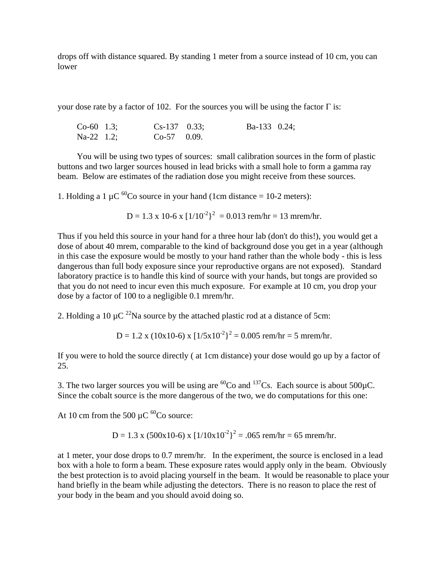drops off with distance squared. By standing 1 meter from a source instead of 10 cm, you can lower

your dose rate by a factor of 102. For the sources you will be using the factor  $\Gamma$  is:

| $Co-60$ 1.3; | $Cs-137$ 0.33; | Ba-133 $0.24$ ; |  |
|--------------|----------------|-----------------|--|
| $Na-22$ 1.2; | $Co-57$ 0.09.  |                 |  |

 You will be using two types of sources: small calibration sources in the form of plastic buttons and two larger sources housed in lead bricks with a small hole to form a gamma ray beam. Below are estimates of the radiation dose you might receive from these sources.

1. Holding a 1  $\mu$ C <sup>60</sup>Co source in your hand (1cm distance = 10-2 meters):

D = 1.3 x 10-6 x 
$$
\left[\frac{1}{10^{-2}}\right]^2
$$
 = 0.013 rem/hr = 13 mrem/hr.

Thus if you held this source in your hand for a three hour lab (don't do this!), you would get a dose of about 40 mrem, comparable to the kind of background dose you get in a year (although in this case the exposure would be mostly to your hand rather than the whole body - this is less dangerous than full body exposure since your reproductive organs are not exposed). Standard laboratory practice is to handle this kind of source with your hands, but tongs are provided so that you do not need to incur even this much exposure. For example at 10 cm, you drop your dose by a factor of 100 to a negligible 0.1 mrem/hr.

2. Holding a 10  $\mu$ C <sup>22</sup>Na source by the attached plastic rod at a distance of 5cm:

 $D = 1.2$  x (10x10-6) x  $\left[\frac{1}{5x10^{-2}}\right]^2 = 0.005$  rem/hr = 5 mrem/hr.

If you were to hold the source directly ( at 1cm distance) your dose would go up by a factor of 25.

3. The two larger sources you will be using are <sup>60</sup>Co and <sup>137</sup>Cs. Each source is about 500 $\mu$ C. Since the cobalt source is the more dangerous of the two, we do computations for this one:

At 10 cm from the 500  $\mu$ C <sup>60</sup>Co source:

D = 1.3 x (500x10-6) x 
$$
[1/10x10^2]^2
$$
 = .065 rem/hr = 65 mrem/hr.

at 1 meter, your dose drops to 0.7 mrem/hr. In the experiment, the source is enclosed in a lead box with a hole to form a beam. These exposure rates would apply only in the beam. Obviously the best protection is to avoid placing yourself in the beam. It would be reasonable to place your hand briefly in the beam while adjusting the detectors. There is no reason to place the rest of your body in the beam and you should avoid doing so.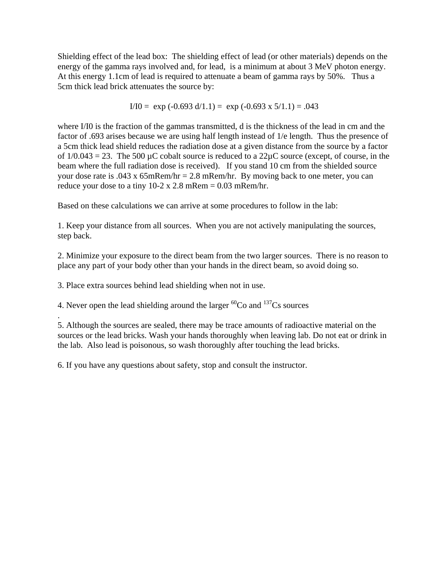Shielding effect of the lead box: The shielding effect of lead (or other materials) depends on the energy of the gamma rays involved and, for lead, is a minimum at about 3 MeV photon energy. At this energy 1.1cm of lead is required to attenuate a beam of gamma rays by 50%. Thus a 5cm thick lead brick attenuates the source by:

$$
I/I0 = \exp(-0.693 \text{ d}/1.1) = \exp(-0.693 \text{ x } 5/1.1) = .043
$$

where I/I0 is the fraction of the gammas transmitted, d is the thickness of the lead in cm and the factor of .693 arises because we are using half length instead of 1/e length. Thus the presence of a 5cm thick lead shield reduces the radiation dose at a given distance from the source by a factor of  $1/0.043 = 23$ . The 500 µC cobalt source is reduced to a  $22\mu$ C source (except, of course, in the beam where the full radiation dose is received). If you stand 10 cm from the shielded source your dose rate is  $.043 \times 65$ mRem/hr = 2.8 mRem/hr. By moving back to one meter, you can reduce your dose to a tiny  $10-2 \times 2.8$  mRem = 0.03 mRem/hr.

Based on these calculations we can arrive at some procedures to follow in the lab:

1. Keep your distance from all sources. When you are not actively manipulating the sources, step back.

2. Minimize your exposure to the direct beam from the two larger sources. There is no reason to place any part of your body other than your hands in the direct beam, so avoid doing so.

3. Place extra sources behind lead shielding when not in use.

.

4. Never open the lead shielding around the larger  ${}^{60}Co$  and  ${}^{137}Cs$  sources

5. Although the sources are sealed, there may be trace amounts of radioactive material on the sources or the lead bricks. Wash your hands thoroughly when leaving lab. Do not eat or drink in the lab. Also lead is poisonous, so wash thoroughly after touching the lead bricks.

6. If you have any questions about safety, stop and consult the instructor.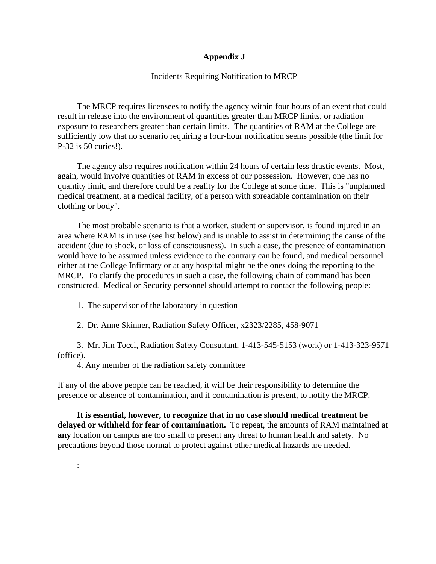### **Appendix J**

#### Incidents Requiring Notification to MRCP

 The MRCP requires licensees to notify the agency within four hours of an event that could result in release into the environment of quantities greater than MRCP limits, or radiation exposure to researchers greater than certain limits. The quantities of RAM at the College are sufficiently low that no scenario requiring a four-hour notification seems possible (the limit for P-32 is 50 curies!).

 The agency also requires notification within 24 hours of certain less drastic events. Most, again, would involve quantities of RAM in excess of our possession. However, one has no quantity limit, and therefore could be a reality for the College at some time. This is "unplanned medical treatment, at a medical facility, of a person with spreadable contamination on their clothing or body".

 The most probable scenario is that a worker, student or supervisor, is found injured in an area where RAM is in use (see list below) and is unable to assist in determining the cause of the accident (due to shock, or loss of consciousness). In such a case, the presence of contamination would have to be assumed unless evidence to the contrary can be found, and medical personnel either at the College Infirmary or at any hospital might be the ones doing the reporting to the MRCP. To clarify the procedures in such a case, the following chain of command has been constructed. Medical or Security personnel should attempt to contact the following people:

1. The supervisor of the laboratory in question

2. Dr. Anne Skinner, Radiation Safety Officer, x2323/2285, 458-9071

 3. Mr. Jim Tocci, Radiation Safety Consultant, 1-413-545-5153 (work) or 1-413-323-9571 (office).

4. Any member of the radiation safety committee

:

If any of the above people can be reached, it will be their responsibility to determine the presence or absence of contamination, and if contamination is present, to notify the MRCP.

 **It is essential, however, to recognize that in no case should medical treatment be delayed or withheld for fear of contamination.** To repeat, the amounts of RAM maintained at **any** location on campus are too small to present any threat to human health and safety. No precautions beyond those normal to protect against other medical hazards are needed.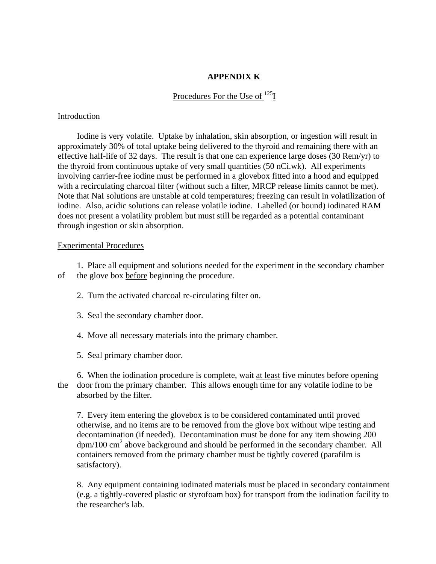## **APPENDIX K**

Procedures For the Use of <sup>125</sup>I

### Introduction

 Iodine is very volatile. Uptake by inhalation, skin absorption, or ingestion will result in approximately 30% of total uptake being delivered to the thyroid and remaining there with an effective half-life of 32 days. The result is that one can experience large doses (30 Rem/yr) to the thyroid from continuous uptake of very small quantities (50 nCi.wk). All experiments involving carrier-free iodine must be performed in a glovebox fitted into a hood and equipped with a recirculating charcoal filter (without such a filter, MRCP release limits cannot be met). Note that NaI solutions are unstable at cold temperatures; freezing can result in volatilization of iodine. Also, acidic solutions can release volatile iodine. Labelled (or bound) iodinated RAM does not present a volatility problem but must still be regarded as a potential contaminant through ingestion or skin absorption.

### Experimental Procedures

 1. Place all equipment and solutions needed for the experiment in the secondary chamber of the glove box before beginning the procedure.

2. Turn the activated charcoal re-circulating filter on.

- 3. Seal the secondary chamber door.
- 4. Move all necessary materials into the primary chamber.
- 5. Seal primary chamber door.

 6. When the iodination procedure is complete, wait at least five minutes before opening the door from the primary chamber. This allows enough time for any volatile iodine to be absorbed by the filter.

 7. Every item entering the glovebox is to be considered contaminated until proved otherwise, and no items are to be removed from the glove box without wipe testing and decontamination (if needed). Decontamination must be done for any item showing 200 dpm/100 cm<sup>2</sup> above background and should be performed in the secondary chamber. All containers removed from the primary chamber must be tightly covered (parafilm is satisfactory).

 8. Any equipment containing iodinated materials must be placed in secondary containment (e.g. a tightly-covered plastic or styrofoam box) for transport from the iodination facility to the researcher's lab.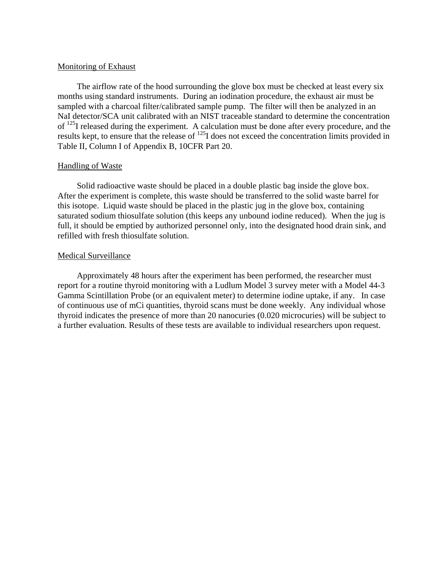### Monitoring of Exhaust

 The airflow rate of the hood surrounding the glove box must be checked at least every six months using standard instruments. During an iodination procedure, the exhaust air must be sampled with a charcoal filter/calibrated sample pump. The filter will then be analyzed in an NaI detector/SCA unit calibrated with an NIST traceable standard to determine the concentration of <sup>125</sup>I released during the experiment. A calculation must be done after every procedure, and the results kept, to ensure that the release of 125I does not exceed the concentration limits provided in Table II, Column I of Appendix B, 10CFR Part 20.

#### Handling of Waste

 Solid radioactive waste should be placed in a double plastic bag inside the glove box. After the experiment is complete, this waste should be transferred to the solid waste barrel for this isotope. Liquid waste should be placed in the plastic jug in the glove box, containing saturated sodium thiosulfate solution (this keeps any unbound iodine reduced). When the jug is full, it should be emptied by authorized personnel only, into the designated hood drain sink, and refilled with fresh thiosulfate solution.

#### Medical Surveillance

 Approximately 48 hours after the experiment has been performed, the researcher must report for a routine thyroid monitoring with a Ludlum Model 3 survey meter with a Model 44-3 Gamma Scintillation Probe (or an equivalent meter) to determine iodine uptake, if any. In case of continuous use of mCi quantities, thyroid scans must be done weekly. Any individual whose thyroid indicates the presence of more than 20 nanocuries (0.020 microcuries) will be subject to a further evaluation. Results of these tests are available to individual researchers upon request.